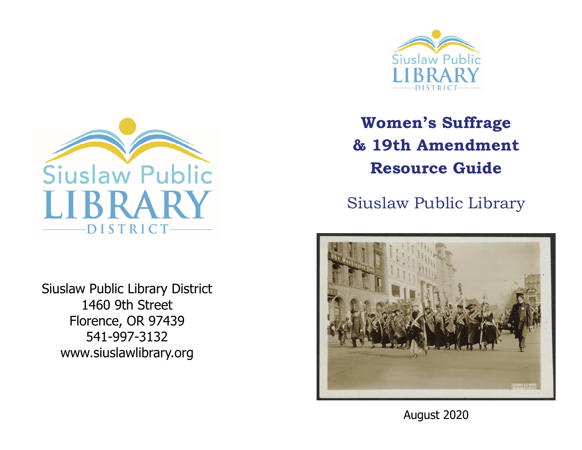



Siuslaw Public Library District 1460 9th Street Florence, OR 97439 541-997-3132 www.siuslawlibrary.org

**Women's Suffrage & 19th Amendment Resource Guide** 

Siuslaw Public Library



August 2020